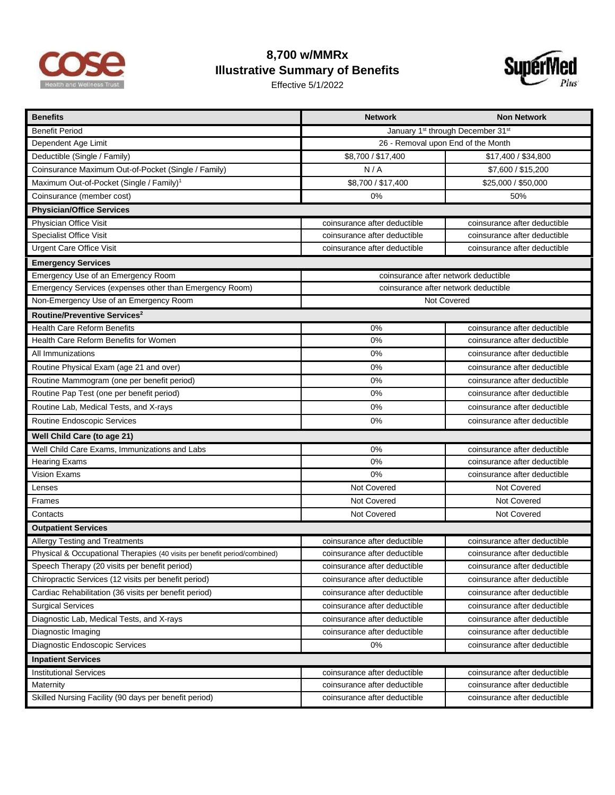

## **8,700 w/MMRx Illustrative Summary of Benefits**

Effective 5/1/2022



| <b>Benefits</b>                                                           | <b>Network</b>                                            | <b>Non Network</b>           |  |
|---------------------------------------------------------------------------|-----------------------------------------------------------|------------------------------|--|
| <b>Benefit Period</b>                                                     | January 1 <sup>st</sup> through December 31 <sup>st</sup> |                              |  |
| Dependent Age Limit                                                       | 26 - Removal upon End of the Month                        |                              |  |
| Deductible (Single / Family)                                              | \$8,700 / \$17,400                                        | \$17,400 / \$34,800          |  |
| Coinsurance Maximum Out-of-Pocket (Single / Family)                       | N/A                                                       | \$7,600 / \$15,200           |  |
| Maximum Out-of-Pocket (Single / Family) <sup>1</sup>                      | \$8,700 / \$17,400                                        | \$25,000 / \$50,000          |  |
| Coinsurance (member cost)                                                 | 0%                                                        | 50%                          |  |
| <b>Physician/Office Services</b>                                          |                                                           |                              |  |
| Physician Office Visit                                                    | coinsurance after deductible                              | coinsurance after deductible |  |
| Specialist Office Visit                                                   | coinsurance after deductible                              | coinsurance after deductible |  |
| <b>Urgent Care Office Visit</b>                                           | coinsurance after deductible                              | coinsurance after deductible |  |
| <b>Emergency Services</b>                                                 |                                                           |                              |  |
| Emergency Use of an Emergency Room                                        | coinsurance after network deductible                      |                              |  |
| Emergency Services (expenses other than Emergency Room)                   | coinsurance after network deductible                      |                              |  |
| Non-Emergency Use of an Emergency Room                                    | Not Covered                                               |                              |  |
| Routine/Preventive Services <sup>2</sup>                                  |                                                           |                              |  |
| <b>Health Care Reform Benefits</b>                                        | 0%                                                        | coinsurance after deductible |  |
| Health Care Reform Benefits for Women                                     | 0%                                                        | coinsurance after deductible |  |
| All Immunizations                                                         | 0%                                                        | coinsurance after deductible |  |
| Routine Physical Exam (age 21 and over)                                   | 0%                                                        | coinsurance after deductible |  |
| Routine Mammogram (one per benefit period)                                | 0%                                                        | coinsurance after deductible |  |
| Routine Pap Test (one per benefit period)                                 | 0%                                                        | coinsurance after deductible |  |
| Routine Lab, Medical Tests, and X-rays                                    | 0%                                                        | coinsurance after deductible |  |
| Routine Endoscopic Services                                               | 0%                                                        | coinsurance after deductible |  |
| Well Child Care (to age 21)                                               |                                                           |                              |  |
| Well Child Care Exams, Immunizations and Labs                             | 0%                                                        | coinsurance after deductible |  |
| Hearing Exams                                                             | 0%                                                        | coinsurance after deductible |  |
| <b>Vision Exams</b>                                                       | 0%                                                        | coinsurance after deductible |  |
| Lenses                                                                    | Not Covered                                               | Not Covered                  |  |
| Frames                                                                    | Not Covered                                               | Not Covered                  |  |
| Contacts                                                                  | Not Covered                                               | Not Covered                  |  |
| <b>Outpatient Services</b>                                                |                                                           |                              |  |
| Allergy Testing and Treatments                                            | coinsurance after deductible                              | coinsurance after deductible |  |
| Physical & Occupational Therapies (40 visits per benefit period/combined) | coinsurance after deductible                              | coinsurance after deductible |  |
| Speech Therapy (20 visits per benefit period)                             | coinsurance after deductible                              | coinsurance after deductible |  |
| Chiropractic Services (12 visits per benefit period)                      | coinsurance after deductible                              | coinsurance after deductible |  |
| Cardiac Rehabilitation (36 visits per benefit period)                     | coinsurance after deductible                              | coinsurance after deductible |  |
| <b>Surgical Services</b>                                                  | coinsurance after deductible                              | coinsurance after deductible |  |
| Diagnostic Lab, Medical Tests, and X-rays                                 | coinsurance after deductible                              | coinsurance after deductible |  |
| Diagnostic Imaging                                                        | coinsurance after deductible                              | coinsurance after deductible |  |
| Diagnostic Endoscopic Services                                            | 0%                                                        | coinsurance after deductible |  |
| <b>Inpatient Services</b>                                                 |                                                           |                              |  |
| <b>Institutional Services</b>                                             | coinsurance after deductible                              | coinsurance after deductible |  |
| Maternity                                                                 | coinsurance after deductible                              | coinsurance after deductible |  |
| Skilled Nursing Facility (90 days per benefit period)                     | coinsurance after deductible                              | coinsurance after deductible |  |